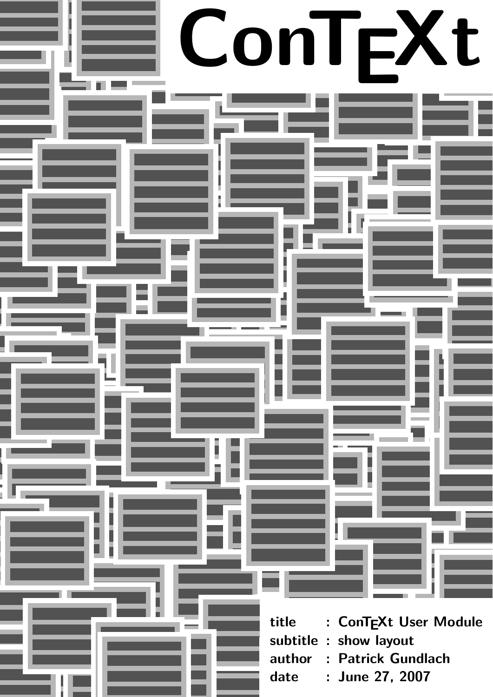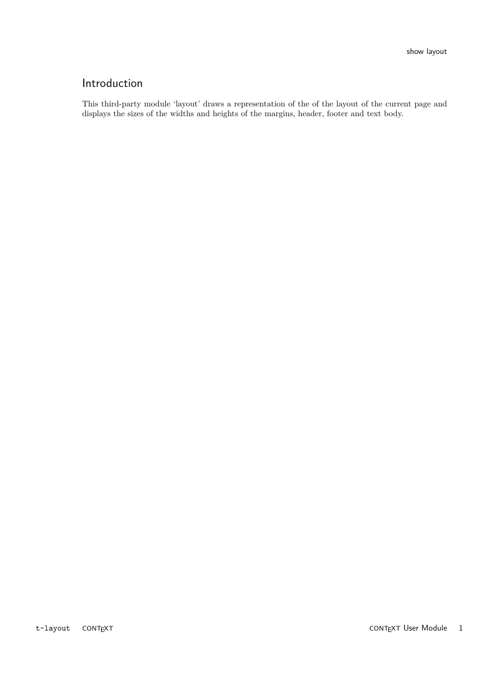## Introduction

This third-party module 'layout' draws a representation of the of the layout of the current page and displays the sizes of the widths and heights of the margins, header, footer and text body.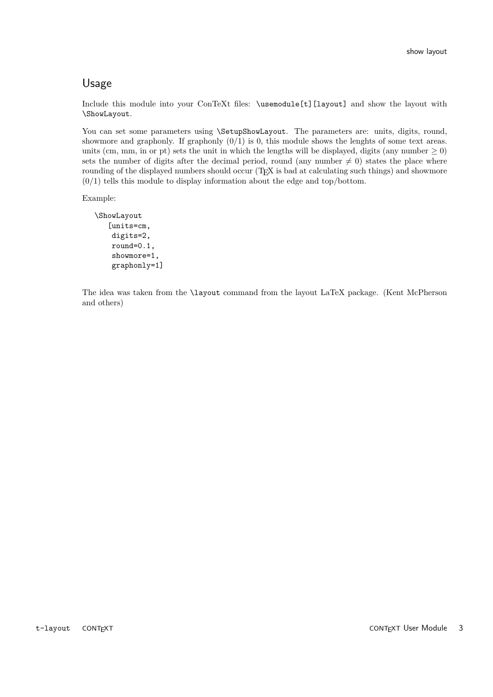## Usage

Include this module into your ConTeXt files: \usemodule[t][layout] and show the layout with \ShowLayout.

You can set some parameters using \SetupShowLayout. The parameters are: units, digits, round, showmore and graphonly. If graphonly  $(0/1)$  is 0, this module shows the lenghts of some text areas. units (cm, mm, in or pt) sets the unit in which the lengths will be displayed, digits (any number  $\geq 0$ ) sets the number of digits after the decimal period, round (any number  $\neq 0$ ) states the place where rounding of the displayed numbers should occur (T<sub>E</sub>X is bad at calculating such things) and showmore  $(0/1)$  tells this module to display information about the edge and top/bottom.

Example:

```
\ShowLayout
   [units=cm,
    digits=2,
    round=0.1,
    showmore=1,
    graphonly=1]
```
The idea was taken from the \layout command from the layout LaTeX package. (Kent McPherson and others)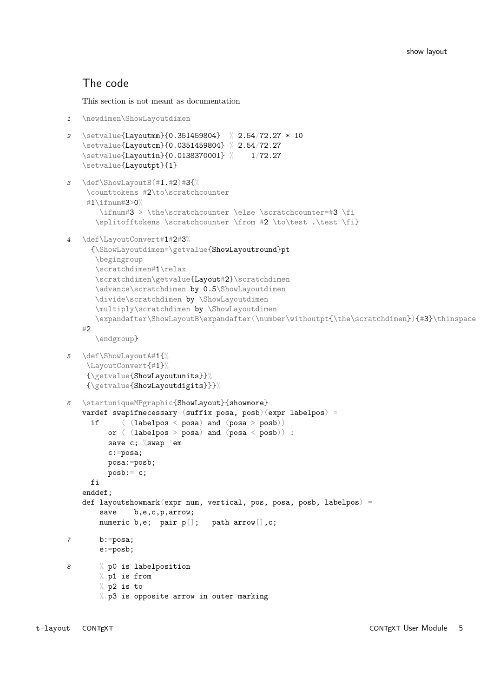## The code

This section is not meant as documentation

```
1 \newdimen\ShowLayoutdimen
2 \setvalue{Layoutmm}{0.351459804} % 2.54/72.27 * 10
   \setvalue{Layoutcm}{0.0351459804} % 2.54/72.27
   \setvalue{Layoutin}{0.0138370001} % 1/72.27
   \setvalue{Layoutpt}{1}
3 \def\ShowLayoutB(#1.#2)#3{%
    \counttokens #2\to\scratchcounter
    #1\ifnum#3>0%
       \ifnum#3 > \the\scratchcounter \else \scratchcounter=#3 \fi
      \splitofftokens \scratchcounter \from #2 \to\test .\test \fi}
4 \def\LayoutConvert#1#2#3%
     {\ShowLayoutdimen=\getvalue{ShowLayoutround}pt
      \begingroup
      \scratchdimen#1\relax
      \scratchdimen\getvalue{Layout#2}\scratchdimen
      \advance\scratchdimen by 0.5\ShowLayoutdimen
      \divide\scratchdimen by \ShowLayoutdimen
      \multiply\scratchdimen by \ShowLayoutdimen
      \expandafter\ShowLayoutB\expandafter(\number\withoutpt{\the\scratchdimen}){#3}\thinspace
   #2\endgroup}
5 \def\ShowLayoutA#1{%
    \LayoutConvert{#1}%
    {\getvalue{ShowLayoutunits}}%
    {\getvalue{ShowLayoutdigits}}}%
6 \startuniqueMPgraphic{ShowLayout}{showmore}
   vardef swapifnecessary (suffix posa, posb)(expr labelpos) =
     if ( (labelpos < posa) and (posa > posb))
         or ( (labelpos > posa) and (posa < posb)) :
         save c; %swap 'em
         c:=posa;
         posa:=posb;
         posb:= c;
     f_ienddef;
   def layoutshowmark(expr num, vertical, pos, posa, posb, labelpos) =
       save b,e,c,p,arrow;
       numeric b,e; pair p[]; path arrow[],c;
7 b:=posa;
       e:=posb;
8 % p0 is labelposition
       % p1 is from
       % p2 is to
       % p3 is opposite arrow in outer marking
```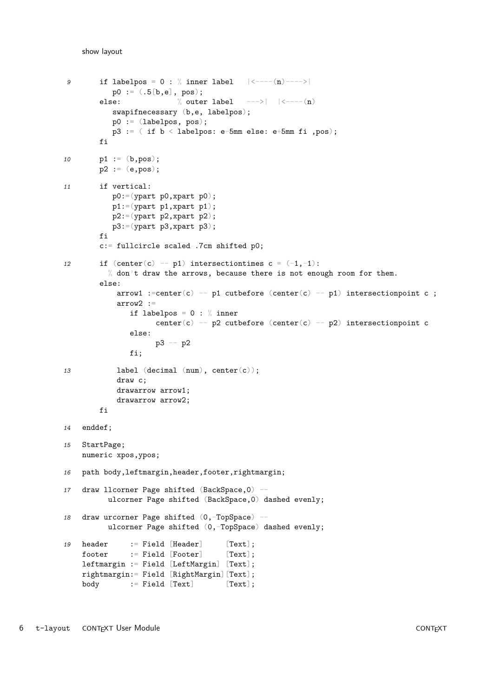```
9 if labelpos = 0 : % inner label | \langle ----(n) --- \rangle |p0 := (.5[b,e], pos);else: \% outer label --->| |<----(n)
           swapifnecessary (b,e, labelpos);
          p0 := (labelpos, pos);
          p3 := ( if b < labelpos: e-5mm else: e+5mm fi ,pos);
        fi
10   p1 := (b, pos);p2 := (e, pos);11 if vertical:
          p0:=(ypart p0,xpart p0);
          p1:=(\text{ypart }p1,\text{xpart }p1);p2:=(\text{ypart }p2,\text{xpart }p2);p3:=(ypart p3,xpart p3);
        fi
        c:= fullcircle scaled .7cm shifted p0;
12 if (center(c) -- p1) intersectiontimes c = (-1, -1):
          % don't draw the arrows, because there is not enough room for them.
        else:
            arrow1 :=center(c) -- p1 cutbefore (center(c) -- p1) intersectionpoint c ;arrow2 :=
               if labelpos = 0 : % inner
                    center(c) -- p2 cutbefore (center(c) -- p2) intersectionpoint c
               else:
                    p3 -- p2
               fi;
13 label (decimal (num), center(c));
            draw c;
            drawarrow arrow1;
            drawarrow arrow2;
        fi
14 enddef;
15 StartPage;
    numeric xpos,ypos;
16 path body,leftmargin,header,footer,rightmargin;
17 draw llcorner Page shifted (BackSpace, 0) --
          ulcorner Page shifted (BackSpace,0) dashed evenly;
18 draw urcorner Page shifted (0, -TopSpace) --
         ulcorner Page shifted (0,-TopSpace) dashed evenly;
19 header := Field [Header] [Text];
    footer := Field [Footer] [Text];
    leftmargin := Field [LeftMargin] [Text];
    rightmargin:= Field [RightMargin][Text];
    body := Field [Text] [Text];
```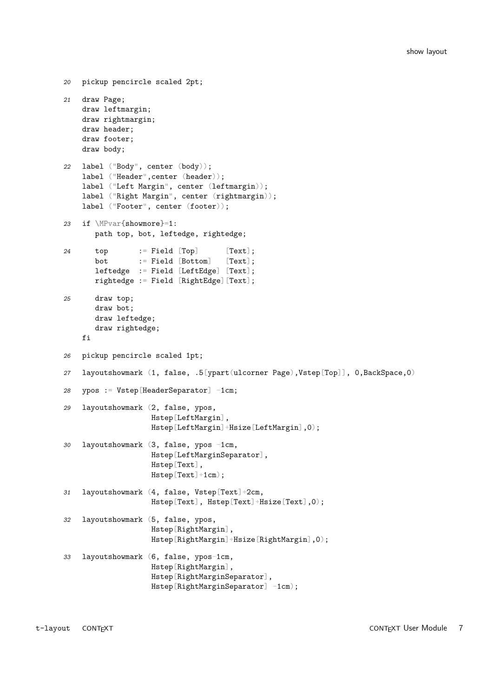```
20 pickup pencircle scaled 2pt;
21 draw Page;
    draw leftmargin;
    draw rightmargin;
    draw header;
    draw footer;
    draw body;
22 label ("Body", center (body));
    label ("Header",center (header));
    label ("Left Margin", center (leftmargin));
    label ("Right Margin", center (rightmargin));
    label ("Footer", center (footer));
23 if \MPvar{showmore}=1:
       path top, bot, leftedge, rightedge;
24 top := Field [Top] [Text];
       bot := Field [Bottom] [Text];
       leftedge := Field [LeftEdge] [Text];
       rightedge := Field [RightEdge][Text];
25 draw top;
       draw bot;
       draw leftedge;
       draw rightedge;
    fi
26 pickup pencircle scaled 1pt;
27 layoutshowmark (1, false, .5[ypart(ulcorner Page),Vstep[Top]], 0,BackSpace,0)
28 ypos := Vstep[HeaderSeparator] -1cm;
29 layoutshowmark (2, false, ypos,
                   Hstep[LeftMargin],
                   Hstep[LeftMargin]+Hsize[LeftMargin],0);
30 layoutshowmark (3, false, ypos -1cm,
                   Hstep[LeftMarginSeparator],
                   Hstep[Text],
                   Hstep[Text]+1cm);
31 layoutshowmark (4, false, Vstep[Text]+2cm,
                   Hstep[Text], Hstep[Text]+Hsize[Text],0);
32 layoutshowmark (5, false, ypos,
                   Hstep[RightMargin],
                    Hstep[RightMargin]+Hsize[RightMargin],0);
33 layoutshowmark (6, false, ypos-1cm,
                   Hstep[RightMargin],
                   Hstep[RightMarginSeparator],
                   Hstep[RightMarginSeparator] -1cm);
```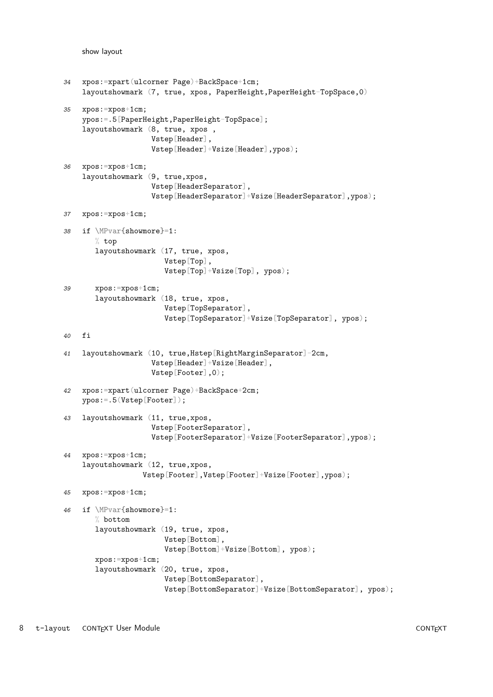```
34 xpos:=xpart(ulcorner Page)+BackSpace+1cm;
    layoutshowmark (7, \text{ true}, \text{ xpos}, \text{ PaperHeight}, \text{PaperHeight} - \text{TopSpace}, 0)35 xpos:=xpos+1cm;
    ypos:=.5[PaperHeight,PaperHeight-TopSpace];
    layoutshowmark (8, true, xpos ,
                    Vstep[Header],
                     Vstep[Header]+Vsize[Header],ypos);
36 xpos:=xpos+1cm;
    layoutshowmark (9, true,xpos,
                     Vstep[HeaderSeparator],
                     Vstep[HeaderSeparator]+Vsize[HeaderSeparator],ypos);
37 xpos:=xpos+1cm;
38 if \MPvar{showmore}=1:
       % top
       layoutshowmark (17, true, xpos,
                        Vstep[Top],
                        Vstep[Top]+Vsize[Top], ypos);
39 xpos:=xpos+1cm;
       layoutshowmark (18, true, xpos,
                        Vstep[TopSeparator],
                        Vstep[TopSeparator]+Vsize[TopSeparator], ypos);
40 fi
41 layoutshowmark (10, true,Hstep[RightMarginSeparator]-2cm,
                     Vstep[Header]+Vsize[Header],
                     Vstep[Footer],0);
42 xpos:=xpart(ulcorner Page)+BackSpace+2cm;
    ypos:=.5(Vstep[Footer]);
43 layoutshowmark (11, true,xpos,
                     Vstep[FooterSeparator],
                     Vstep[FooterSeparator]+Vsize[FooterSeparator],ypos);
44 xpos:=xpos+1cm;
    layoutshowmark (12, true,xpos,
                  Vstep[Footer],Vstep[Footer]+Vsize[Footer],ypos);
45 xpos:=xpos+1cm;
46 if \MPvar{showmore}=1:
       % bottom
       layoutshowmark (19, true, xpos,
                        Vstep[Bottom],
                        Vstep[Bottom]+Vsize[Bottom], ypos);
       xpos:=xpos+1cm;
       layoutshowmark (20, true, xpos,
                        Vstep[BottomSeparator],
                        Vstep[BottomSeparator]+Vsize[BottomSeparator], ypos);
```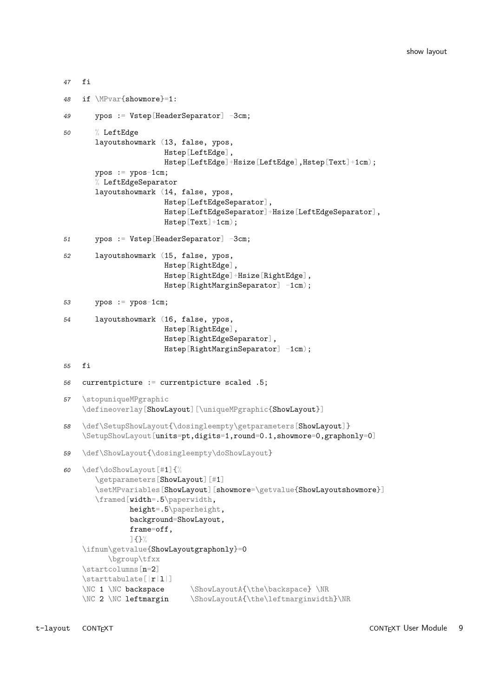```
47 fi
48 if \MPvar{showmore}=1:
49 ypos := Vstep[HeaderSeparator] -3cm;
50 % LeftEdge
       layoutshowmark (13, false, ypos,
                      Hstep[LeftEdge],
                      Hstep[LeftEdge]+Hsize[LeftEdge],Hstep[Text]+1cm);
       ypos := ypos-1cm;
       % LeftEdgeSeparator
       layoutshowmark (14, false, ypos,
                      Hstep[LeftEdgeSeparator],
                      Hstep[LeftEdgeSeparator]+Hsize[LeftEdgeSeparator],
                      Hstep[Text]+1cm);
51 ypos := Vstep[HeaderSeparator] -3cm;
52 layoutshowmark (15, false, ypos,
                      Hstep[RightEdge],
                      Hstep[RightEdge]+Hsize[RightEdge],
                      Hstep[RightMarginSeparator] -1cm);
53 ypos := ypos-1cm;
54 layoutshowmark (16, false, ypos,
                      Hstep[RightEdge],
                      Hstep[RightEdgeSeparator],
                      Hstep[RightMarginSeparator] -1cm);
55 fi
56 currentpicture := currentpicture scaled .5;
57 \stopuniqueMPgraphic
    \defineoverlay[ShowLayout][\uniqueMPgraphic{ShowLayout}]
58 \def\SetupShowLayout{\dosingleempty\getparameters[ShowLayout]}
    \SetupShowLayout[units=pt,digits=1,round=0.1,showmore=0,graphonly=0]
59 \def\ShowLayout{\dosingleempty\doShowLayout}
60 \def\doShowLayout[#1]{%
       \getparameters[ShowLayout][#1]
       \setMPvariables[ShowLayout][showmore=\getvalue{ShowLayoutshowmore}]
       \framed[width=.5\paperwidth,
               height=.5\paperheight,
               background=ShowLayout,
               frame=off,
               ]{}%
    \ifnum\getvalue{ShowLayoutgraphonly}=0
          \bgroup\tfxx
    \startcolumns[n=2]
    \starttabulate[|r|l|]
    \NC 1 \NC backspace \ShowLayoutA{\the\backspace} \NR
    \NC 2 \NC leftmargin \ShowLayoutA{\the\leftmarginwidth}\NR
```